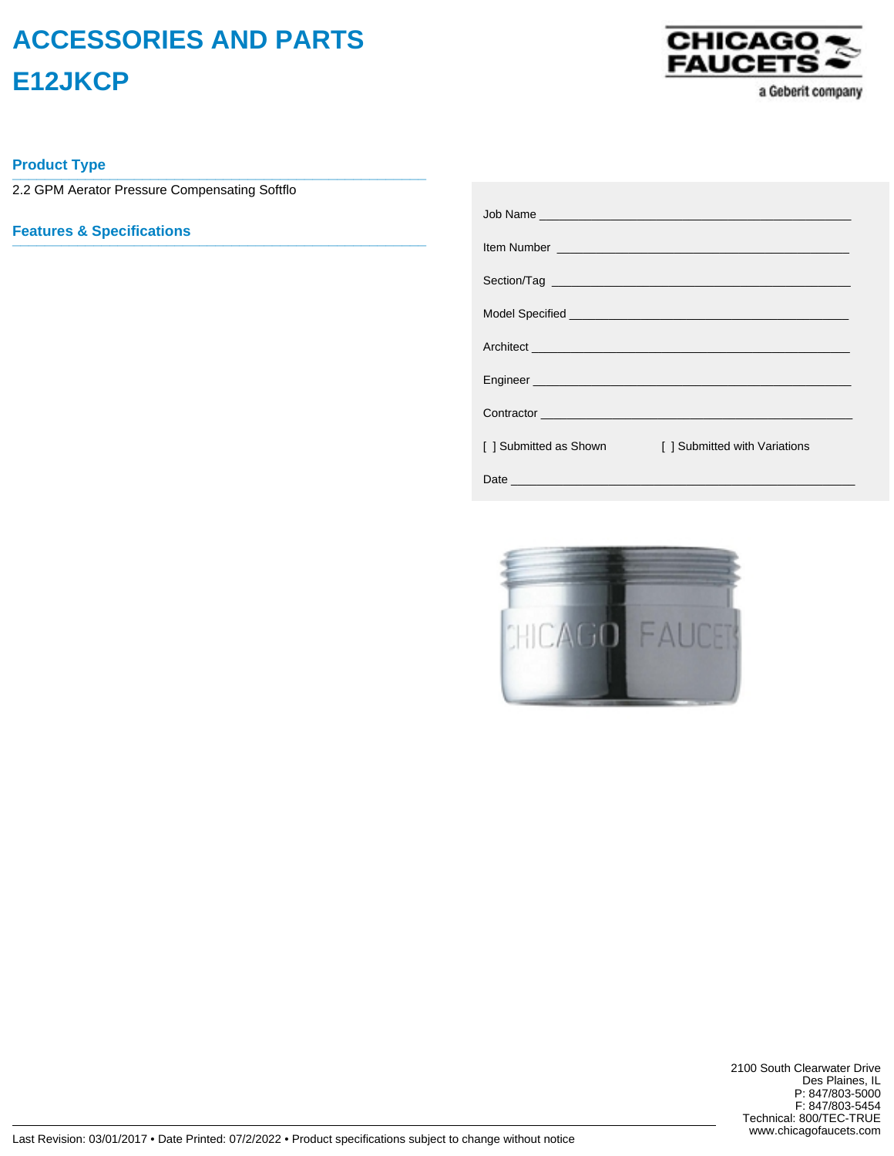## **ACCESSORIES AND PARTS E12JKCP**



a Geberit company

**Product Type \_\_\_\_\_\_\_\_\_\_\_\_\_\_\_\_\_\_\_\_\_\_\_\_\_\_\_\_\_\_\_\_\_\_\_\_\_\_\_\_\_\_\_\_\_\_\_\_\_\_\_**

2.2 GPM Aerator Pressure Compensating Softflo

**Features & Specifications \_\_\_\_\_\_\_\_\_\_\_\_\_\_\_\_\_\_\_\_\_\_\_\_\_\_\_\_\_\_\_\_\_\_\_\_\_\_\_\_\_\_\_\_\_\_\_\_\_\_\_**

|                        | Item Number <u>De Barbara and Barbara and Barbara and Barbara and Barbara and Barbara and Barbara and Barbara and Barbara and Barbara and Barbara and Barbara and Barbara and Barbara and Barbara and Barbara and Barbara and Ba</u> |
|------------------------|--------------------------------------------------------------------------------------------------------------------------------------------------------------------------------------------------------------------------------------|
|                        |                                                                                                                                                                                                                                      |
|                        |                                                                                                                                                                                                                                      |
|                        |                                                                                                                                                                                                                                      |
|                        |                                                                                                                                                                                                                                      |
|                        | Contractor <b>Contractor Contractor</b>                                                                                                                                                                                              |
| [ ] Submitted as Shown | [ ] Submitted with Variations                                                                                                                                                                                                        |
|                        |                                                                                                                                                                                                                                      |



2100 South Clearwater Drive Des Plaines, IL P: 847/803-5000 F: 847/803-5454 Technical: 800/TEC-TRUE www.chicagofaucets.com